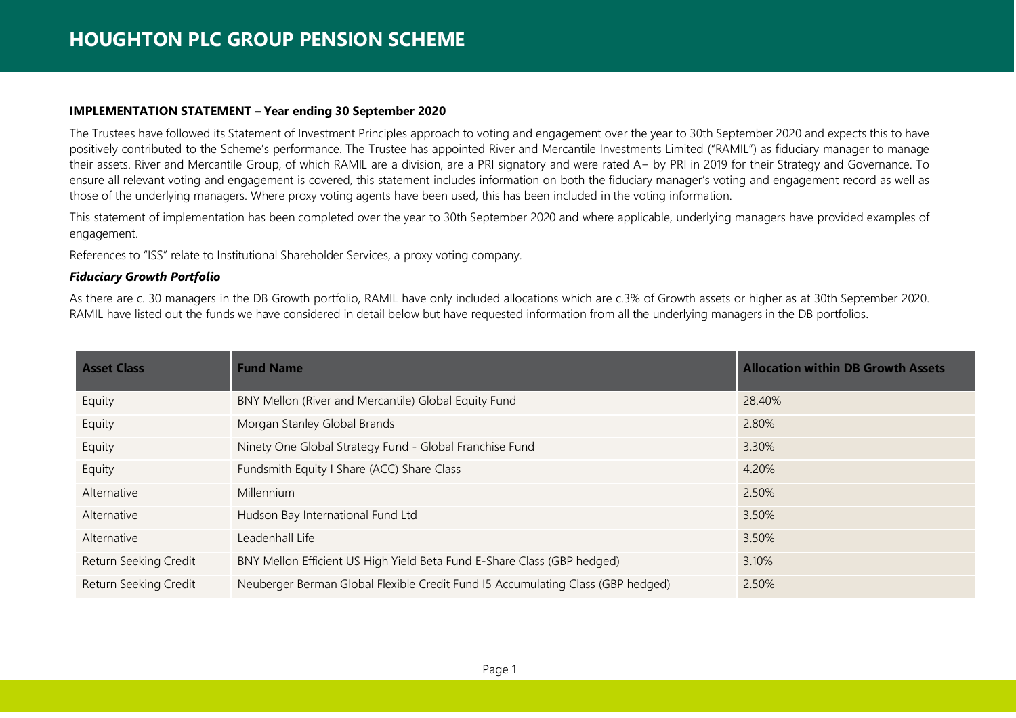#### **IMPLEMENTATION STATEMENT – Year ending 30 September 2020**

The Trustees have followed its Statement of Investment Principles approach to voting and engagement over the year to 30th September 2020 and expects this to have positively contributed to the Scheme's performance. The Trustee has appointed River and Mercantile Investments Limited ("RAMIL") as fiduciary manager to manage their assets. River and Mercantile Group, of which RAMIL are a division, are a PRI signatory and were rated A+ by PRI in 2019 for their Strategy and Governance. To ensure all relevant voting and engagement is covered, this statement includes information on both the fiduciary manager's voting and engagement record as well as those of the underlying managers. Where proxy voting agents have been used, this has been included in the voting information.

This statement of implementation has been completed over the year to 30th September 2020 and where applicable, underlying managers have provided examples of engagement.

References to "ISS" relate to Institutional Shareholder Services, a proxy voting company.

## *Fiduciary Growth Portfolio*

As there are c. 30 managers in the DB Growth portfolio, RAMIL have only included allocations which are c.3% of Growth assets or higher as at 30th September 2020. RAMIL have listed out the funds we have considered in detail below but have requested information from all the underlying managers in the DB portfolios.

| <b>Asset Class</b>    | <b>Fund Name</b>                                                                | <b>Allocation within DB Growth Assets</b> |
|-----------------------|---------------------------------------------------------------------------------|-------------------------------------------|
| Equity                | BNY Mellon (River and Mercantile) Global Equity Fund                            | 28.40%                                    |
| Equity                | Morgan Stanley Global Brands                                                    | 2.80%                                     |
| Equity                | Ninety One Global Strategy Fund - Global Franchise Fund                         | 3.30%                                     |
| Equity                | Fundsmith Equity I Share (ACC) Share Class                                      | 4.20%                                     |
| Alternative           | Millennium                                                                      | 2.50%                                     |
| Alternative           | Hudson Bay International Fund Ltd                                               | 3.50%                                     |
| Alternative           | Leadenhall Life                                                                 | 3.50%                                     |
| Return Seeking Credit | BNY Mellon Efficient US High Yield Beta Fund E-Share Class (GBP hedged)         | 3.10%                                     |
| Return Seeking Credit | Neuberger Berman Global Flexible Credit Fund I5 Accumulating Class (GBP hedged) | 2.50%                                     |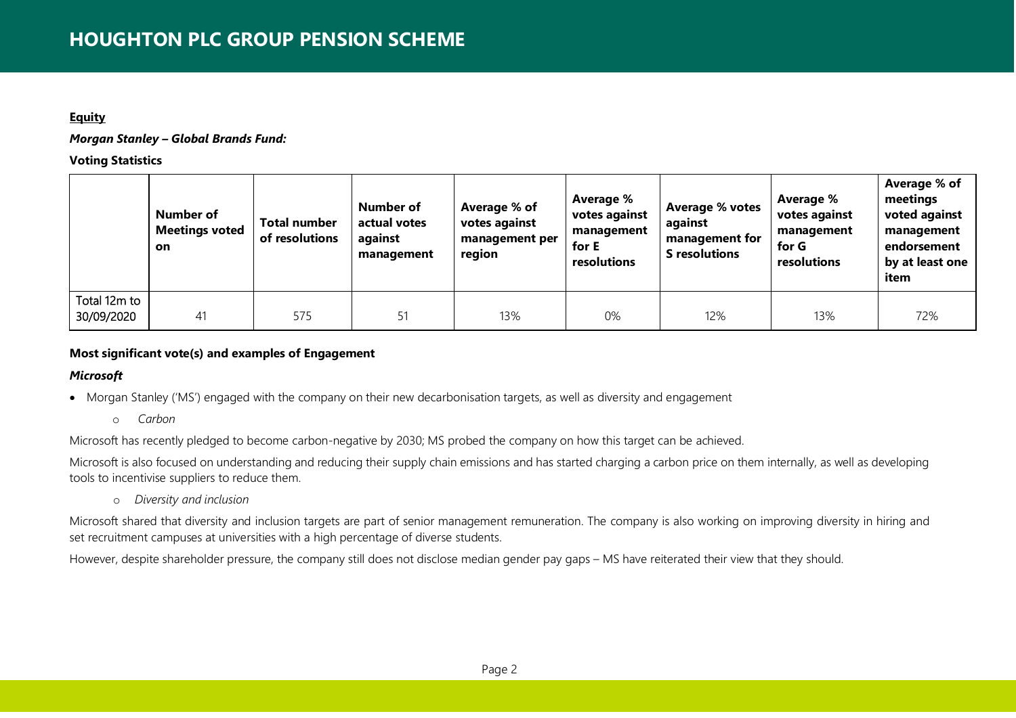## **Equity**

*Morgan Stanley – Global Brands Fund:*

**Voting Statistics**

|                            | Number of<br><b>Meetings voted</b><br><b>on</b> | Total number<br>of resolutions | Number of<br>actual votes<br>against<br>management | Average % of<br>votes against<br>management per<br>region | Average %<br>votes against<br>management<br>for E<br>resolutions | Average % votes<br>against<br>management for<br><b>S</b> resolutions | Average %<br>votes against<br>management<br>for G<br>resolutions | Average % of<br>meetings<br>voted against<br>management<br>endorsement<br>by at least one<br>item |
|----------------------------|-------------------------------------------------|--------------------------------|----------------------------------------------------|-----------------------------------------------------------|------------------------------------------------------------------|----------------------------------------------------------------------|------------------------------------------------------------------|---------------------------------------------------------------------------------------------------|
| Total 12m to<br>30/09/2020 | 41                                              | 575                            |                                                    | 13%                                                       | 0%                                                               | 12%                                                                  | 13%                                                              | 72%                                                                                               |

# **Most significant vote(s) and examples of Engagement**

# *Microsoft*

- Morgan Stanley ('MS') engaged with the company on their new decarbonisation targets, as well as diversity and engagement
	- o *Carbon*

Microsoft has recently pledged to become carbon-negative by 2030; MS probed the company on how this target can be achieved.

Microsoft is also focused on understanding and reducing their supply chain emissions and has started charging a carbon price on them internally, as well as developing tools to incentivise suppliers to reduce them.

o *Diversity and inclusion*

Microsoft shared that diversity and inclusion targets are part of senior management remuneration. The company is also working on improving diversity in hiring and set recruitment campuses at universities with a high percentage of diverse students.

However, despite shareholder pressure, the company still does not disclose median gender pay gaps – MS have reiterated their view that they should.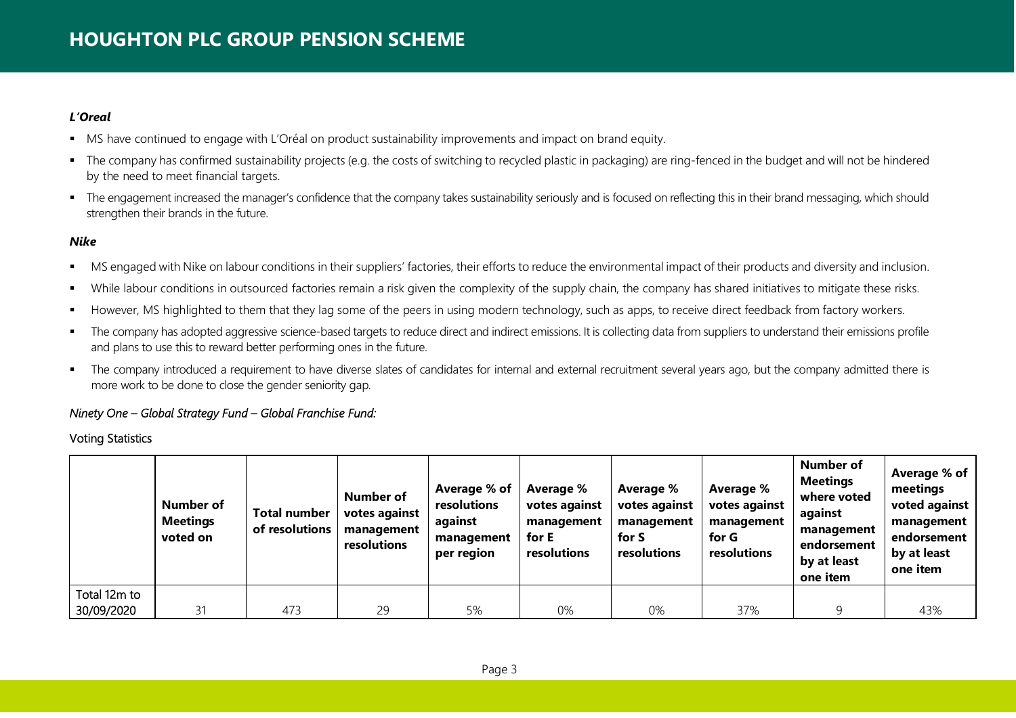# *L'Oreal*

- MS have continued to engage with L'Oréal on product sustainability improvements and impact on brand equity.
- The company has confirmed sustainability projects (e.g. the costs of switching to recycled plastic in packaging) are ring-fenced in the budget and will not be hindered by the need to meet financial targets.
- The engagement increased the manager's confidence that the company takes sustainability seriously and is focused on reflecting this in their brand messaging, which should strengthen their brands in the future.

# *Nike*

- MS engaged with Nike on labour conditions in their suppliers' factories, their efforts to reduce the environmental impact of their products and diversity and inclusion.
- While labour conditions in outsourced factories remain a risk given the complexity of the supply chain, the company has shared initiatives to mitigate these risks.
- However, MS highlighted to them that they lag some of the peers in using modern technology, such as apps, to receive direct feedback from factory workers.
- The company has adopted aggressive science-based targets to reduce direct and indirect emissions. It is collecting data from suppliers to understand their emissions profile and plans to use this to reward better performing ones in the future.
- The company introduced a requirement to have diverse slates of candidates for internal and external recruitment several years ago, but the company admitted there is more work to be done to close the gender seniority gap.

## *Ninety One – Global Strategy Fund – Global Franchise Fund:*

# Voting Statistics

|              | Number of<br><b>Meetings</b><br>voted on | <b>Total number</b><br>of resolutions | <b>Number of</b><br>votes against<br>management<br>resolutions | Average % of<br>resolutions<br>against<br>management<br>per region | Average %<br>votes against<br>management<br>for E<br>resolutions | Average %<br>votes against<br>management<br>for S<br>resolutions | Average %<br>votes against<br>management<br>for G<br>resolutions | <b>Number of</b><br><b>Meetings</b><br>where voted<br>against<br>management<br>endorsement<br>by at least<br>one item | Average % of<br>meetings<br>voted against<br>management<br>endorsement<br>by at least<br>one item |
|--------------|------------------------------------------|---------------------------------------|----------------------------------------------------------------|--------------------------------------------------------------------|------------------------------------------------------------------|------------------------------------------------------------------|------------------------------------------------------------------|-----------------------------------------------------------------------------------------------------------------------|---------------------------------------------------------------------------------------------------|
| Total 12m to |                                          |                                       |                                                                |                                                                    |                                                                  |                                                                  |                                                                  |                                                                                                                       |                                                                                                   |
| 30/09/2020   | 31                                       | 473                                   | 29                                                             | 5%                                                                 | 0%                                                               | 0%                                                               | 37%                                                              |                                                                                                                       | 43%                                                                                               |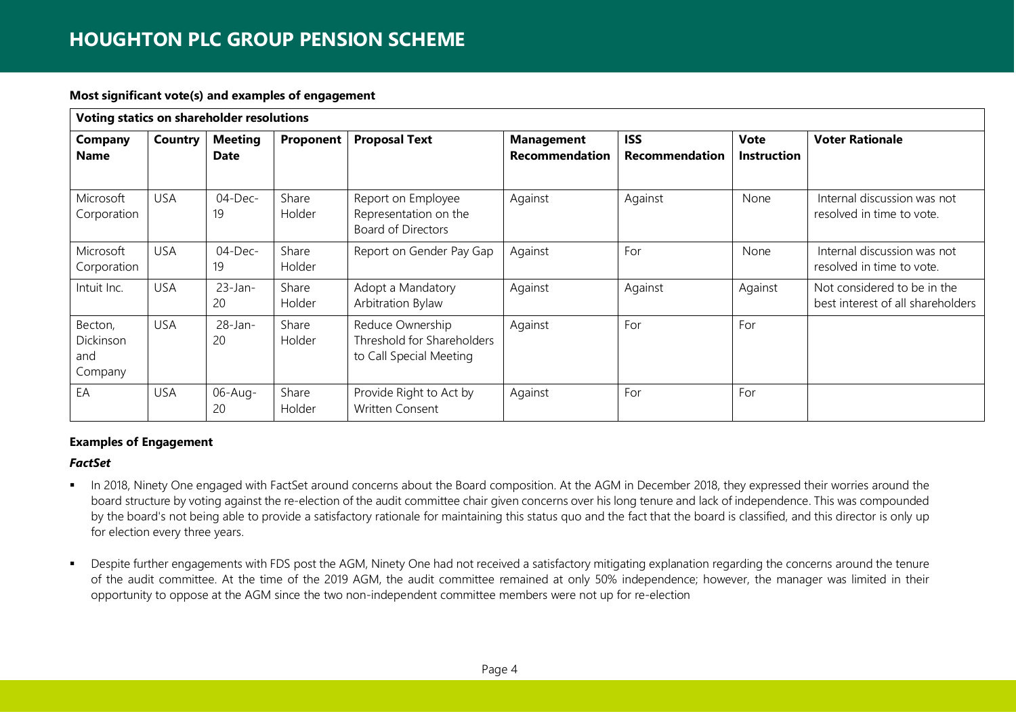# **HOUGHTON PLC GROUP PENSION SCHEME**

#### **Most significant vote(s) and examples of engagement**

|                                        | Voting statics on shareholder resolutions |                               |                 |                                                                           |                                            |                                     |                                   |                                                                  |  |  |  |
|----------------------------------------|-------------------------------------------|-------------------------------|-----------------|---------------------------------------------------------------------------|--------------------------------------------|-------------------------------------|-----------------------------------|------------------------------------------------------------------|--|--|--|
| <b>Company</b><br><b>Name</b>          | Country                                   | <b>Meeting</b><br><b>Date</b> | Proponent       | <b>Proposal Text</b>                                                      | <b>Management</b><br><b>Recommendation</b> | <b>ISS</b><br><b>Recommendation</b> | <b>Vote</b><br><b>Instruction</b> | <b>Voter Rationale</b>                                           |  |  |  |
| Microsoft<br>Corporation               | <b>USA</b>                                | $04$ -Dec-<br>19              | Share<br>Holder | Report on Employee<br>Representation on the<br><b>Board of Directors</b>  | Against                                    | Against                             | None                              | Internal discussion was not<br>resolved in time to vote.         |  |  |  |
| Microsoft<br>Corporation               | <b>USA</b>                                | $04$ -Dec-<br>19              | Share<br>Holder | Report on Gender Pay Gap                                                  | Against                                    | For                                 | None                              | Internal discussion was not<br>resolved in time to vote.         |  |  |  |
| Intuit Inc.                            | <b>USA</b>                                | $23$ -Jan-<br>20              | Share<br>Holder | Adopt a Mandatory<br>Arbitration Bylaw                                    | Against                                    | Against                             | Against                           | Not considered to be in the<br>best interest of all shareholders |  |  |  |
| Becton,<br>Dickinson<br>and<br>Company | <b>USA</b>                                | 28-Jan-<br>20                 | Share<br>Holder | Reduce Ownership<br>Threshold for Shareholders<br>to Call Special Meeting | Against                                    | For                                 | For                               |                                                                  |  |  |  |
| EA                                     | <b>USA</b>                                | $06$ -Aug-<br>20              | Share<br>Holder | Provide Right to Act by<br>Written Consent                                | Against                                    | For                                 | For                               |                                                                  |  |  |  |

## **Examples of Engagement**

## *FactSet*

- In 2018, Ninety One engaged with FactSet around concerns about the Board composition. At the AGM in December 2018, they expressed their worries around the board structure by voting against the re-election of the audit committee chair given concerns over his long tenure and lack of independence. This was compounded by the board's not being able to provide a satisfactory rationale for maintaining this status quo and the fact that the board is classified, and this director is only up for election every three years.
- Despite further engagements with FDS post the AGM, Ninety One had not received a satisfactory mitigating explanation regarding the concerns around the tenure of the audit committee. At the time of the 2019 AGM, the audit committee remained at only 50% independence; however, the manager was limited in their opportunity to oppose at the AGM since the two non-independent committee members were not up for re-election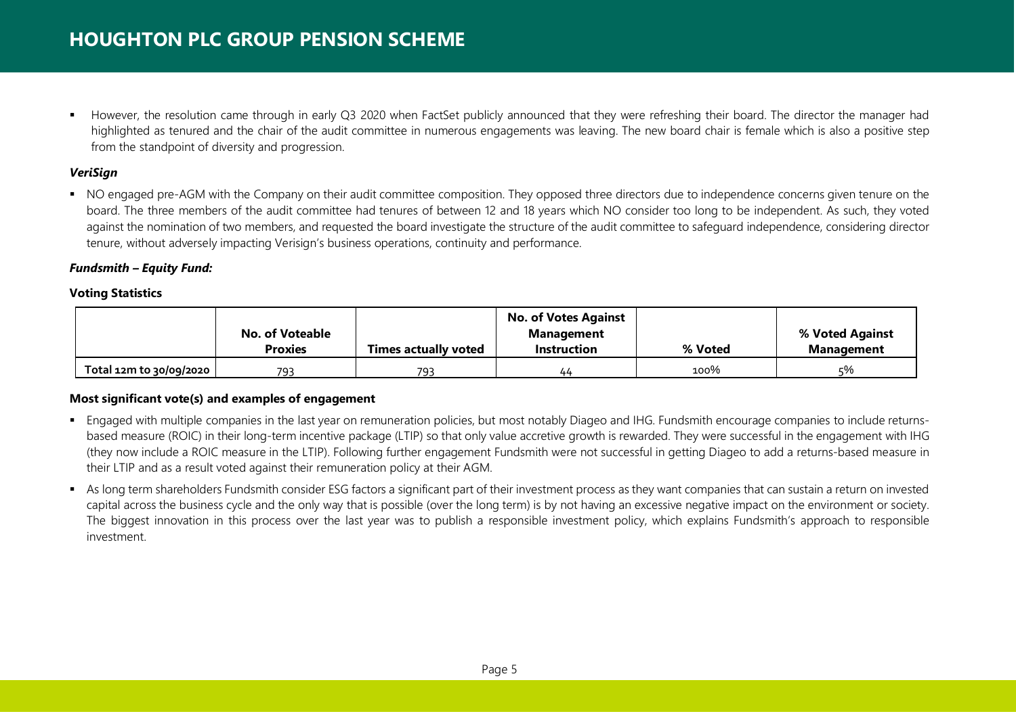However, the resolution came through in early Q3 2020 when FactSet publicly announced that they were refreshing their board. The director the manager had highlighted as tenured and the chair of the audit committee in numerous engagements was leaving. The new board chair is female which is also a positive step from the standpoint of diversity and progression.

# *VeriSign*

• NO engaged pre-AGM with the Company on their audit committee composition. They opposed three directors due to independence concerns given tenure on the board. The three members of the audit committee had tenures of between 12 and 18 years which NO consider too long to be independent. As such, they voted against the nomination of two members, and requested the board investigate the structure of the audit committee to safeguard independence, considering director tenure, without adversely impacting Verisign's business operations, continuity and performance.

## *Fundsmith – Equity Fund:*

## **Voting Statistics**

|                         |                 |                             | <b>No. of Votes Against</b> |         |                   |
|-------------------------|-----------------|-----------------------------|-----------------------------|---------|-------------------|
|                         | No. of Voteable |                             | <b>Management</b>           |         | % Voted Against   |
|                         | <b>Proxies</b>  | <b>Times actually voted</b> | <b>Instruction</b>          | % Voted | <b>Management</b> |
| Total 12m to 30/09/2020 | 793             | 793                         | 44                          | 100%    | ऽ%                |

# **Most significant vote(s) and examples of engagement**

- Engaged with multiple companies in the last year on remuneration policies, but most notably Diageo and IHG. Fundsmith encourage companies to include returnsbased measure (ROIC) in their long-term incentive package (LTIP) so that only value accretive growth is rewarded. They were successful in the engagement with IHG (they now include a ROIC measure in the LTIP). Following further engagement Fundsmith were not successful in getting Diageo to add a returns-based measure in their LTIP and as a result voted against their remuneration policy at their AGM.
- As long term shareholders Fundsmith consider ESG factors a significant part of their investment process as they want companies that can sustain a return on invested capital across the business cycle and the only way that is possible (over the long term) is by not having an excessive negative impact on the environment or society. The biggest innovation in this process over the last year was to publish a responsible investment policy, which explains Fundsmith's approach to responsible investment.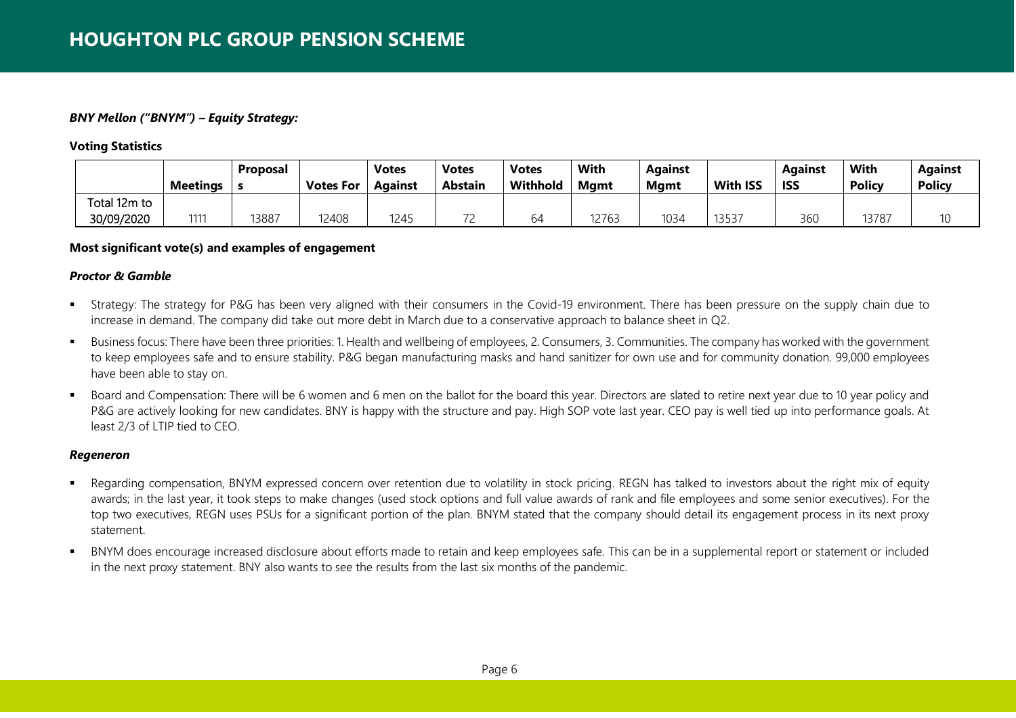## *BNY Mellon ("BNYM") – Equity Strategy:*

**Voting Statistics**

|              | <b>Meetings</b>  | <b>Proposal</b> | <b>Votes For</b> | <b>Votes</b><br>Against | <b>Votes</b><br><b>Abstain</b> | <b>Votes</b><br>Withhold | With<br><b>M</b> amt | <b>Against</b><br>Mamt | <b>With ISS</b> | Against<br><b>ISS</b> | <b>With</b><br><b>Policy</b> | <b>Against</b><br><b>Policy</b> |
|--------------|------------------|-----------------|------------------|-------------------------|--------------------------------|--------------------------|----------------------|------------------------|-----------------|-----------------------|------------------------------|---------------------------------|
| Total 12m to |                  |                 |                  |                         |                                |                          |                      |                        |                 |                       |                              |                                 |
| 30/09/2020   | 111 <sup>°</sup> | 13887           | 12408            | 1245                    | $\overline{\phantom{a}}$       | 64                       | 12763                | 1034                   | 13537           | 360                   | 13787                        |                                 |

## **Most significant vote(s) and examples of engagement**

#### *Proctor & Gamble*

- **F** Strategy: The strategy for P&G has been very aligned with their consumers in the Covid-19 environment. There has been pressure on the supply chain due to increase in demand. The company did take out more debt in March due to a conservative approach to balance sheet in Q2.
- Business focus: There have been three priorities: 1. Health and wellbeing of employees, 2. Consumers, 3. Communities. The company has worked with the government to keep employees safe and to ensure stability. P&G began manufacturing masks and hand sanitizer for own use and for community donation. 99,000 employees have been able to stay on.
- Board and Compensation: There will be 6 women and 6 men on the ballot for the board this year. Directors are slated to retire next year due to 10 year policy and P&G are actively looking for new candidates. BNY is happy with the structure and pay. High SOP vote last year. CEO pay is well tied up into performance goals. At least 2/3 of LTIP tied to CEO.

## *Regeneron*

- Regarding compensation, BNYM expressed concern over retention due to volatility in stock pricing. REGN has talked to investors about the right mix of equity awards; in the last year, it took steps to make changes (used stock options and full value awards of rank and file employees and some senior executives). For the top two executives, REGN uses PSUs for a significant portion of the plan. BNYM stated that the company should detail its engagement process in its next proxy statement.
- BNYM does encourage increased disclosure about efforts made to retain and keep employees safe. This can be in a supplemental report or statement or included in the next proxy statement. BNY also wants to see the results from the last six months of the pandemic.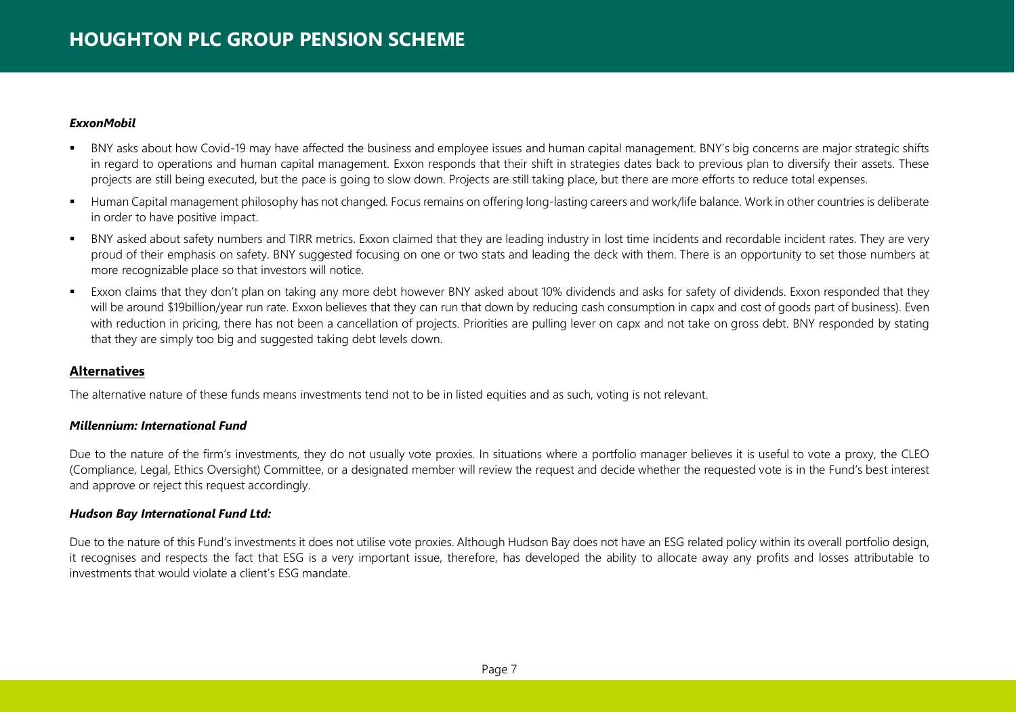## *ExxonMobil*

- BNY asks about how Covid-19 may have affected the business and employee issues and human capital management. BNY's big concerns are major strategic shifts in regard to operations and human capital management. Exxon responds that their shift in strategies dates back to previous plan to diversify their assets. These projects are still being executed, but the pace is going to slow down. Projects are still taking place, but there are more efforts to reduce total expenses.
- Human Capital management philosophy has not changed. Focus remains on offering long-lasting careers and work/life balance. Work in other countries is deliberate in order to have positive impact.
- BNY asked about safety numbers and TIRR metrics. Exxon claimed that they are leading industry in lost time incidents and recordable incident rates. They are very proud of their emphasis on safety. BNY suggested focusing on one or two stats and leading the deck with them. There is an opportunity to set those numbers at more recognizable place so that investors will notice.
- Exxon claims that they don't plan on taking any more debt however BNY asked about 10% dividends and asks for safety of dividends. Exxon responded that they will be around \$19billion/year run rate. Exxon believes that they can run that down by reducing cash consumption in capx and cost of goods part of business). Even with reduction in pricing, there has not been a cancellation of projects. Priorities are pulling lever on capx and not take on gross debt. BNY responded by stating that they are simply too big and suggested taking debt levels down.

# **Alternatives**

The alternative nature of these funds means investments tend not to be in listed equities and as such, voting is not relevant.

# *Millennium: International Fund*

Due to the nature of the firm's investments, they do not usually vote proxies. In situations where a portfolio manager believes it is useful to vote a proxy, the CLEO (Compliance, Legal, Ethics Oversight) Committee, or a designated member will review the request and decide whether the requested vote is in the Fund's best interest and approve or reject this request accordingly.

# *Hudson Bay International Fund Ltd:*

Due to the nature of this Fund's investments it does not utilise vote proxies. Although Hudson Bay does not have an ESG related policy within its overall portfolio design, it recognises and respects the fact that ESG is a very important issue, therefore, has developed the ability to allocate away any profits and losses attributable to investments that would violate a client's ESG mandate.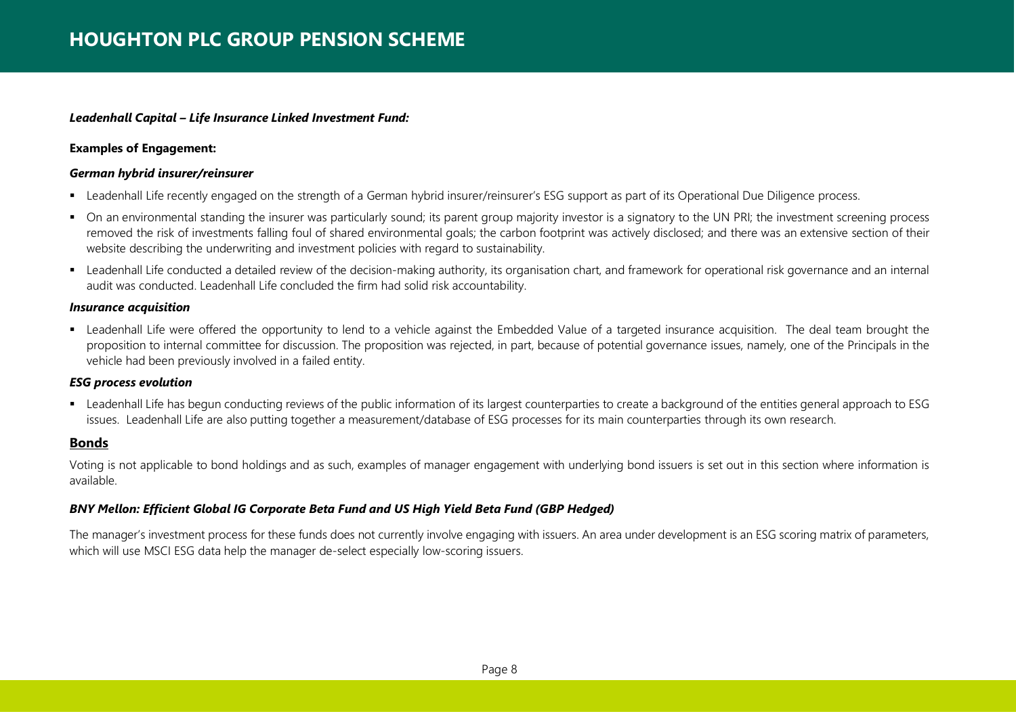## *Leadenhall Capital – Life Insurance Linked Investment Fund:*

#### **Examples of Engagement:**

#### *German hybrid insurer/reinsurer*

- Leadenhall Life recently engaged on the strength of a German hybrid insurer/reinsurer's ESG support as part of its Operational Due Diligence process.
- On an environmental standing the insurer was particularly sound; its parent group majority investor is a signatory to the UN PRI; the investment screening process removed the risk of investments falling foul of shared environmental goals; the carbon footprint was actively disclosed; and there was an extensive section of their website describing the underwriting and investment policies with regard to sustainability.
- Leadenhall Life conducted a detailed review of the decision-making authority, its organisation chart, and framework for operational risk governance and an internal audit was conducted. Leadenhall Life concluded the firm had solid risk accountability.

#### *Insurance acquisition*

Leadenhall Life were offered the opportunity to lend to a vehicle against the Embedded Value of a targeted insurance acquisition. The deal team brought the proposition to internal committee for discussion. The proposition was rejected, in part, because of potential governance issues, namely, one of the Principals in the vehicle had been previously involved in a failed entity.

## *ESG process evolution*

 Leadenhall Life has begun conducting reviews of the public information of its largest counterparties to create a background of the entities general approach to ESG issues. Leadenhall Life are also putting together a measurement/database of ESG processes for its main counterparties through its own research.

# **Bonds**

Voting is not applicable to bond holdings and as such, examples of manager engagement with underlying bond issuers is set out in this section where information is available.

## *BNY Mellon: Efficient Global IG Corporate Beta Fund and US High Yield Beta Fund (GBP Hedged)*

The manager's investment process for these funds does not currently involve engaging with issuers. An area under development is an ESG scoring matrix of parameters, which will use MSCI ESG data help the manager de-select especially low-scoring issuers.